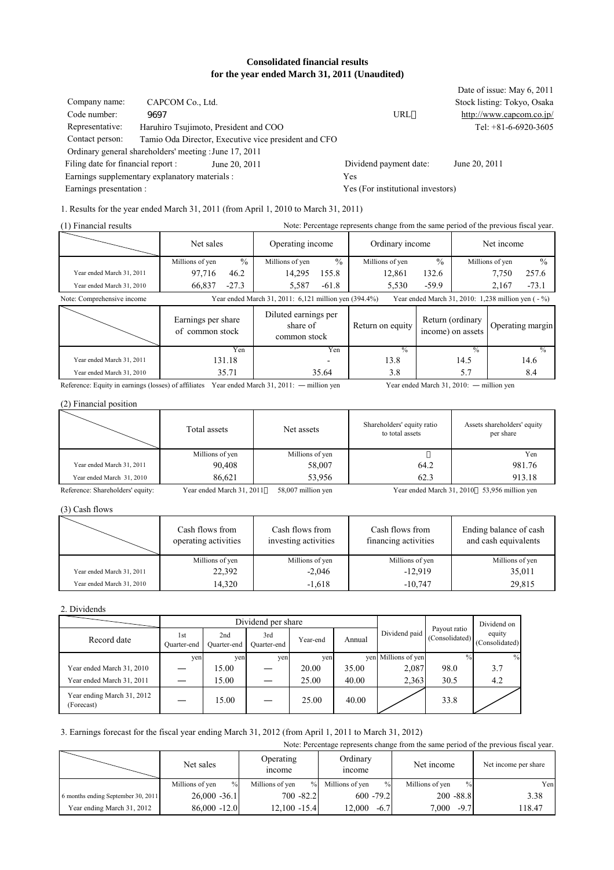#### **Consolidated financial results for the year ended March 31, 2011 (Unaudited)**

| Company name:<br>Code number:<br>Representative:<br>Contact person: | CAPCOM Co., Ltd.<br>9697<br>Ordinary general shareholders' meeting : June 17, 2011 | Haruhiro Tsujimoto, President and COO<br>Tamio Oda Director, Executive vice president and CFO | URL                               | Date of issue: May 6, 2011<br>Stock listing: Tokyo, Osaka<br>http://www.capcom.co.jp/<br>Tel: $+81-6-6920-3605$ |
|---------------------------------------------------------------------|------------------------------------------------------------------------------------|-----------------------------------------------------------------------------------------------|-----------------------------------|-----------------------------------------------------------------------------------------------------------------|
| Filing date for financial report :                                  |                                                                                    | June 20, 2011                                                                                 | Dividend payment date:            | June 20, 2011                                                                                                   |
| Earnings supplementary explanatory materials :                      |                                                                                    |                                                                                               | Yes                               |                                                                                                                 |
| Earnings presentation :                                             |                                                                                    |                                                                                               | Yes (For institutional investors) |                                                                                                                 |
|                                                                     |                                                                                    |                                                                                               |                                   |                                                                                                                 |

1. Results for the year ended March 31, 2011 (from April 1, 2010 to March 31, 2011)

| (1) Financial results      | Note: Percentage represents change from the same period of the previous fiscal year.                             |               |                                                  |               |                  |                                       |               |                 |                  |
|----------------------------|------------------------------------------------------------------------------------------------------------------|---------------|--------------------------------------------------|---------------|------------------|---------------------------------------|---------------|-----------------|------------------|
|                            | Net sales                                                                                                        |               | Operating income                                 |               | Ordinary income  |                                       | Net income    |                 |                  |
|                            | Millions of yen                                                                                                  | $\frac{0}{0}$ | Millions of yen                                  | $\frac{0}{0}$ | Millions of yen  | $\frac{0}{0}$                         |               | Millions of yen | $\frac{0}{0}$    |
| Year ended March 31, 2011  | 97,716                                                                                                           | 46.2          | 14,295                                           | 155.8         | 12.861           | 132.6                                 |               | 7,750           | 257.6            |
| Year ended March 31, 2010  | 66,837                                                                                                           | $-27.3$       | 5,587                                            | $-61.8$       | 5,530            | $-59.9$                               |               | 2,167           | $-73.1$          |
| Note: Comprehensive income | Year ended March 31, 2011: 6,121 million yen (394.4%)<br>Year ended March 31, 2010: $1,238$ million yen ( $-$ %) |               |                                                  |               |                  |                                       |               |                 |                  |
|                            | Earnings per share<br>of common stock                                                                            |               | Diluted earnings per<br>share of<br>common stock |               | Return on equity | Return (ordinary<br>income) on assets |               |                 | Operating margin |
|                            |                                                                                                                  | Yen           |                                                  | Yen           | $\frac{0}{6}$    |                                       | $\frac{0}{0}$ |                 | $\frac{0}{0}$    |
| Year ended March 31, 2011  |                                                                                                                  | 131.18        |                                                  |               | 13.8             |                                       | 14.5          |                 | 14.6             |
| Year ended March 31, 2010  |                                                                                                                  | 35.71         |                                                  | 35.64         | 3.8              |                                       | 5.7           |                 | 8.4              |

Reference: Equity in earnings (losses) of affiliates Year ended March 31, 2011: ― million yen Year ended March 31, 2010: ― million yen

(2) Financial position

|                                  | Total assets              | Net assets         | Shareholders' equity ratio<br>to total assets | Assets shareholders' equity<br>per share |
|----------------------------------|---------------------------|--------------------|-----------------------------------------------|------------------------------------------|
|                                  | Millions of yen           | Millions of yen    |                                               | Yen                                      |
| Year ended March 31, 2011        | 90.408                    | 58,007             | 64.2                                          | 981.76                                   |
| Year ended March 31, 2010        | 86.621                    | 53.956             | 62.3                                          | 913.18                                   |
| Reference: Shareholders' equity: | Year ended March 31, 2011 | 58,007 million yen | Year ended March 31, 2010                     | 53,956 million yen                       |

(3) Cash flows

|                           | Cash flows from<br>operating activities | Cash flows from<br>investing activities | Cash flows from<br>financing activities | Ending balance of cash<br>and cash equivalents |
|---------------------------|-----------------------------------------|-----------------------------------------|-----------------------------------------|------------------------------------------------|
|                           | Millions of yen                         | Millions of yen                         | Millions of yen                         | Millions of yen                                |
| Year ended March 31, 2011 | 22,392                                  | $-2.046$                                | $-12.919$                               | 35,011                                         |
| Year ended March 31, 2010 | 14,320                                  | $-1,618$                                | $-10,747$                               | 29,815                                         |

2. Dividends

|                                          | Dividend per share |                    |                    |          |        |                     |                                | Dividend on              |
|------------------------------------------|--------------------|--------------------|--------------------|----------|--------|---------------------|--------------------------------|--------------------------|
| Record date                              | 1st<br>Quarter-end | 2nd<br>Ouarter-end | 3rd<br>Ouarter-end | Year-end | Annual | Dividend paid       | Payout ratio<br>(Consolidated) | equity<br>(Consolidated) |
|                                          | yen                | yen                | yen                | ven      |        | yen Millions of yen | $\frac{0}{0}$                  | $\%$                     |
| Year ended March 31, 2010                |                    | 15.00              |                    | 20.00    | 35.00  | 2,087               | 98.0                           | 3.7                      |
| Year ended March 31, 2011                |                    | 15.00              |                    | 25.00    | 40.00  | 2,363               | 30.5                           | 4.2                      |
| Year ending March 31, 2012<br>(Forecast) |                    | 15.00              |                    | 25.00    | 40.00  |                     | 33.8                           |                          |

### 3. Earnings forecast for the fiscal year ending March 31, 2012 (from April 1, 2011 to March 31, 2012)

| Note: Percentage represents change from the same period of the previous fiscal year. |                         |                                                         |                         |                         |                      |  |  |
|--------------------------------------------------------------------------------------|-------------------------|---------------------------------------------------------|-------------------------|-------------------------|----------------------|--|--|
|                                                                                      | Net sales               | Ordinary<br>Operating<br><i>n</i> come<br><i>n</i> come |                         | Net income              | Net income per share |  |  |
|                                                                                      | $\%$<br>Millions of yen | Millions of yen<br>$\frac{0}{0}$                        | $\%$<br>Millions of yen | $\%$<br>Millions of yen | Yen                  |  |  |
| 6 months ending September 30, 2011                                                   | $26,000 -36.1$          | $700 - 82.2$                                            | $600 - 79.2$            | $200 - 88.8$            | 3.38                 |  |  |
| Year ending March 31, 2012                                                           | $86,000 - 12.0$         | $12.100 - 15.4$                                         | 12.000<br>$-6.7$        | $-9.7$<br>7,000         | 118.47               |  |  |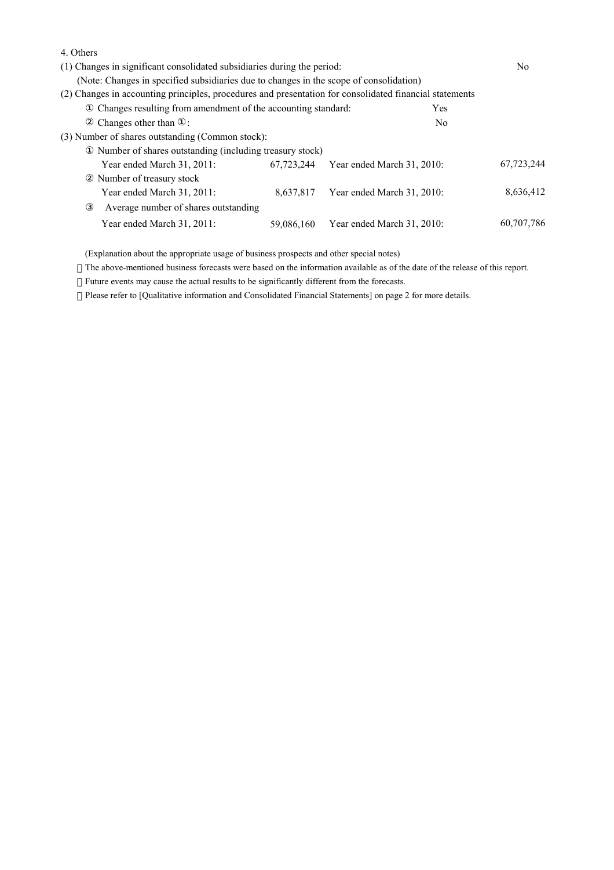| 4. Others                                                                                               |            |                            |                |            |
|---------------------------------------------------------------------------------------------------------|------------|----------------------------|----------------|------------|
| (1) Changes in significant consolidated subsidiaries during the period:                                 |            |                            |                |            |
| (Note: Changes in specified subsidiaries due to changes in the scope of consolidation)                  |            |                            |                |            |
| (2) Changes in accounting principles, procedures and presentation for consolidated financial statements |            |                            |                |            |
| Changes resulting from amendment of the accounting standard:                                            |            |                            | <b>Yes</b>     |            |
| Changes other than :                                                                                    |            |                            | N <sub>0</sub> |            |
| (3) Number of shares outstanding (Common stock):                                                        |            |                            |                |            |
| Number of shares outstanding (including treasury stock)                                                 |            |                            |                |            |
| Year ended March 31, 2011:                                                                              | 67.723.244 | Year ended March 31, 2010: |                | 67,723,244 |
| Number of treasury stock                                                                                |            |                            |                |            |
| Year ended March 31, 2011:                                                                              | 8.637.817  | Year ended March 31, 2010: |                | 8,636,412  |
| Average number of shares outstanding                                                                    |            |                            |                |            |
| Year ended March 31, 2011:                                                                              | 59,086,160 | Year ended March 31, 2010: |                | 60,707,786 |
|                                                                                                         |            |                            |                |            |

(Explanation about the appropriate usage of business prospects and other special notes)

The above-mentioned business forecasts were based on the information available as of the date of the release of this report.

Future events may cause the actual results to be significantly different from the forecasts.

Please refer to [Qualitative information and Consolidated Financial Statements] on page 2 for more details.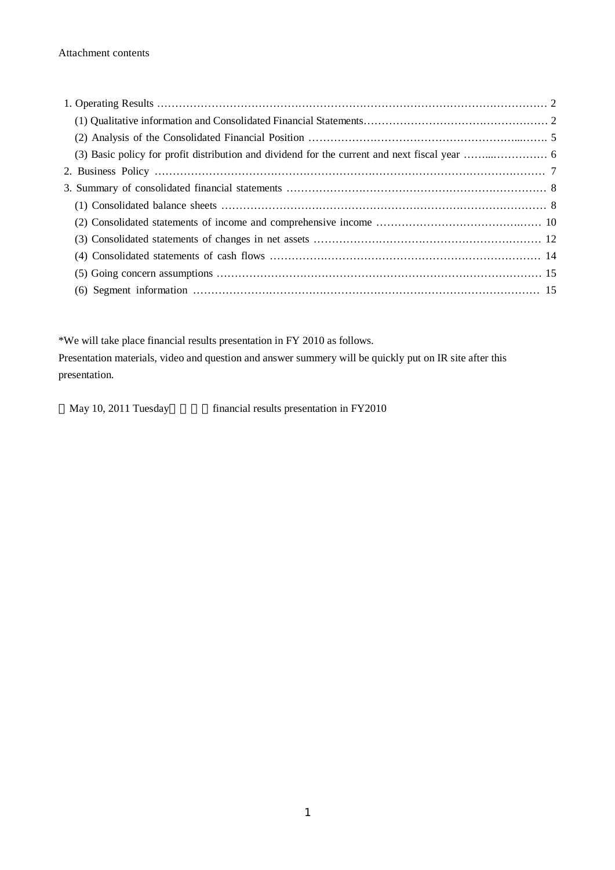\*We will take place financial results presentation in FY 2010 as follows. Presentation materials, video and question and answer summery will be quickly put on IR site after this presentation.

May 10, 2011 Tuesday financial results presentation in FY2010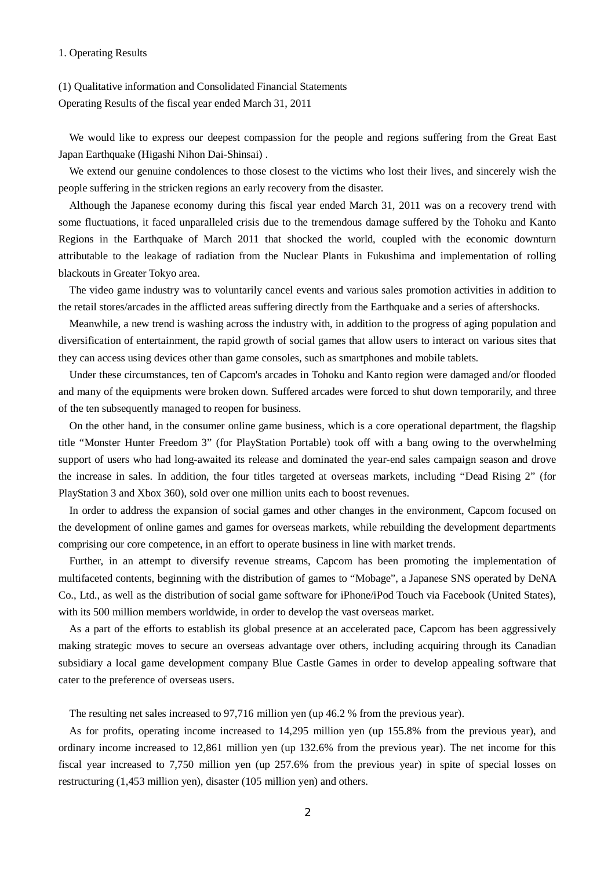#### 1. Operating Results

# (1) Qualitative information and Consolidated Financial Statements Operating Results of the fiscal year ended March 31, 2011

We would like to express our deepest compassion for the people and regions suffering from the Great East Japan Earthquake (Higashi Nihon Dai-Shinsai) .

We extend our genuine condolences to those closest to the victims who lost their lives, and sincerely wish the people suffering in the stricken regions an early recovery from the disaster.

Although the Japanese economy during this fiscal year ended March 31, 2011 was on a recovery trend with some fluctuations, it faced unparalleled crisis due to the tremendous damage suffered by the Tohoku and Kanto Regions in the Earthquake of March 2011 that shocked the world, coupled with the economic downturn attributable to the leakage of radiation from the Nuclear Plants in Fukushima and implementation of rolling blackouts in Greater Tokyo area.

The video game industry was to voluntarily cancel events and various sales promotion activities in addition to the retail stores/arcades in the afflicted areas suffering directly from the Earthquake and a series of aftershocks.

Meanwhile, a new trend is washing across the industry with, in addition to the progress of aging population and diversification of entertainment, the rapid growth of social games that allow users to interact on various sites that they can access using devices other than game consoles, such as smartphones and mobile tablets*.*

Under these circumstances, ten of Capcom's arcades in Tohoku and Kanto region were damaged and/or flooded and many of the equipments were broken down. Suffered arcades were forced to shut down temporarily, and three of the ten subsequently managed to reopen for business.

On the other hand, in the consumer online game business, which is a core operational department, the flagship title "Monster Hunter Freedom 3" (for PlayStation Portable) took off with a bang owing to the overwhelming support of users who had long-awaited its release and dominated the year-end sales campaign season and drove the increase in sales. In addition, the four titles targeted at overseas markets, including "Dead Rising 2" (for PlayStation 3 and Xbox 360), sold over one million units each to boost revenues.

In order to address the expansion of social games and other changes in the environment, Capcom focused on the development of online games and games for overseas markets, while rebuilding the development departments comprising our core competence, in an effort to operate business in line with market trends.

Further, in an attempt to diversify revenue streams, Capcom has been promoting the implementation of multifaceted contents, beginning with the distribution of games to "Mobage", a Japanese SNS operated by DeNA Co., Ltd., as well as the distribution of social game software for iPhone/iPod Touch via Facebook (United States), with its 500 million members worldwide, in order to develop the vast overseas market.

As a part of the efforts to establish its global presence at an accelerated pace, Capcom has been aggressively making strategic moves to secure an overseas advantage over others, including acquiring through its Canadian subsidiary a local game development company Blue Castle Games in order to develop appealing software that cater to the preference of overseas users.

The resulting net sales increased to 97,716 million yen (up 46.2 % from the previous year).

As for profits, operating income increased to 14,295 million yen (up 155.8% from the previous year), and ordinary income increased to 12,861 million yen (up 132.6% from the previous year). The net income for this fiscal year increased to 7,750 million yen (up 257.6% from the previous year) in spite of special losses on restructuring (1,453 million yen), disaster (105 million yen) and others.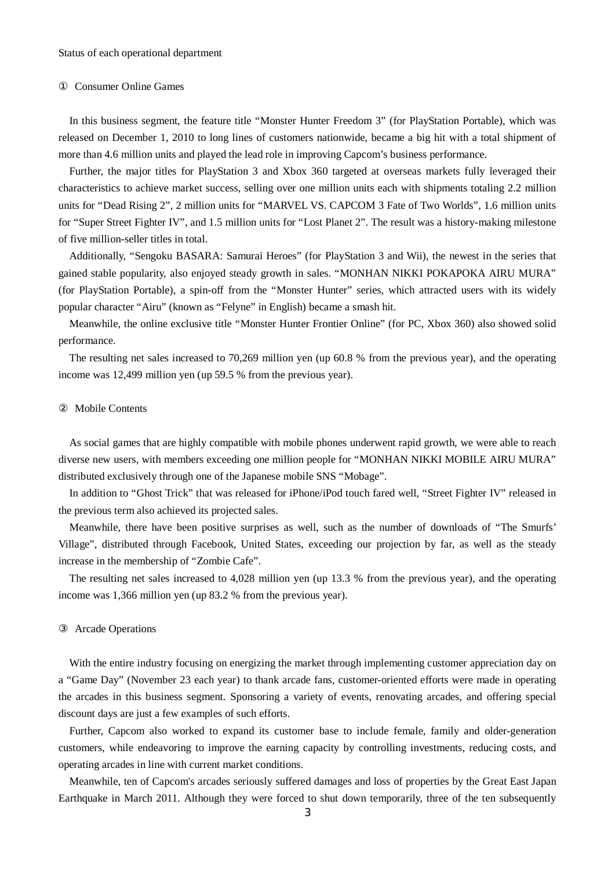#### Consumer Online Games

In this business segment, the feature title "Monster Hunter Freedom 3" (for PlayStation Portable), which was released on December 1, 2010 to long lines of customers nationwide, became a big hit with a total shipment of more than 4.6 million units and played the lead role in improving Capcom's business performance.

Further, the major titles for PlayStation 3 and Xbox 360 targeted at overseas markets fully leveraged their characteristics to achieve market success, selling over one million units each with shipments totaling 2.2 million units for "Dead Rising 2", 2 million units for "MARVEL VS. CAPCOM 3 Fate of Two Worlds", 1.6 million units for "Super Street Fighter IV", and 1.5 million units for "Lost Planet 2". The result was a history-making milestone of five million-seller titles in total.

Additionally, "Sengoku BASARA: Samurai Heroes" (for PlayStation 3 and Wii), the newest in the series that gained stable popularity, also enjoyed steady growth in sales. "MONHAN NIKKI POKAPOKA AIRU MURA" (for PlayStation Portable), a spin-off from the "Monster Hunter" series, which attracted users with its widely popular character "Airu" (known as "Felyne" in English) became a smash hit.

Meanwhile, the online exclusive title "Monster Hunter Frontier Online" (for PC, Xbox 360) also showed solid performance.

The resulting net sales increased to 70,269 million yen (up 60.8 % from the previous year), and the operating income was 12,499 million yen (up 59.5 % from the previous year).

#### Mobile Contents

As social games that are highly compatible with mobile phones underwent rapid growth, we were able to reach diverse new users, with members exceeding one million people for "MONHAN NIKKI MOBILE AIRU MURA" distributed exclusively through one of the Japanese mobile SNS "Mobage".

In addition to "Ghost Trick" that was released for iPhone/iPod touch fared well, "Street Fighter IV" released in the previous term also achieved its projected sales.

Meanwhile, there have been positive surprises as well, such as the number of downloads of "The Smurfs' Village", distributed through Facebook, United States, exceeding our projection by far, as well as the steady increase in the membership of "Zombie Cafe".

The resulting net sales increased to 4,028 million yen (up 13.3 % from the previous year), and the operating income was 1,366 million yen (up 83.2 % from the previous year).

#### Arcade Operations

With the entire industry focusing on energizing the market through implementing customer appreciation day on a "Game Day" (November 23 each year) to thank arcade fans, customer-oriented efforts were made in operating the arcades in this business segment. Sponsoring a variety of events, renovating arcades, and offering special discount days are just a few examples of such efforts.

Further, Capcom also worked to expand its customer base to include female, family and older-generation customers, while endeavoring to improve the earning capacity by controlling investments, reducing costs, and operating arcades in line with current market conditions.

Meanwhile, ten of Capcom's arcades seriously suffered damages and loss of properties by the Great East Japan Earthquake in March 2011. Although they were forced to shut down temporarily, three of the ten subsequently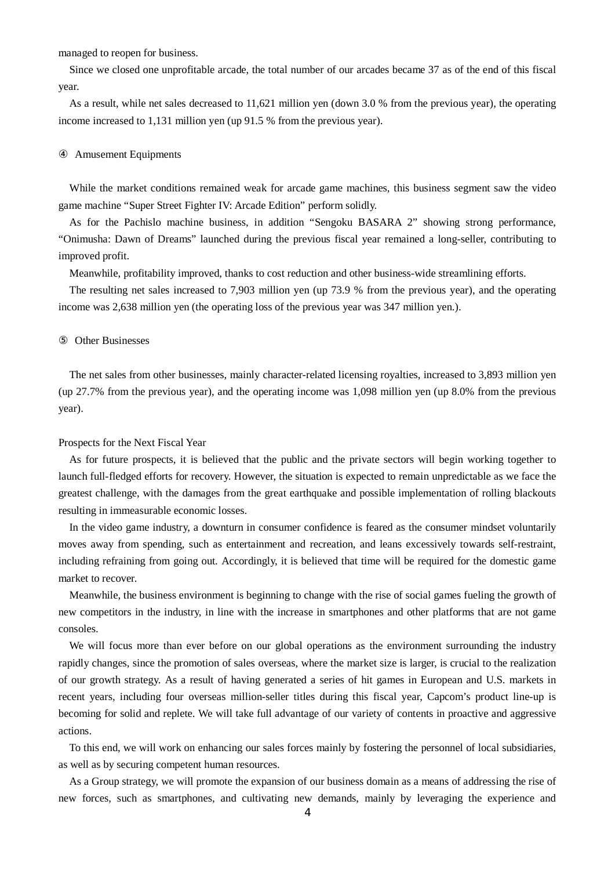managed to reopen for business.

Since we closed one unprofitable arcade, the total number of our arcades became 37 as of the end of this fiscal year.

As a result, while net sales decreased to 11,621 million yen (down 3.0 % from the previous year), the operating income increased to 1,131 million yen (up 91.5 % from the previous year).

#### Amusement Equipments

While the market conditions remained weak for arcade game machines, this business segment saw the video game machine "Super Street Fighter IV: Arcade Edition" perform solidly.

As for the Pachislo machine business, in addition "Sengoku BASARA 2" showing strong performance, "Onimusha: Dawn of Dreams" launched during the previous fiscal year remained a long-seller, contributing to improved profit.

Meanwhile, profitability improved, thanks to cost reduction and other business-wide streamlining efforts.

The resulting net sales increased to 7,903 million yen (up 73.9 % from the previous year), and the operating income was 2,638 million yen (the operating loss of the previous year was 347 million yen.).

#### Other Businesses

The net sales from other businesses, mainly character-related licensing royalties, increased to 3,893 million yen (up 27.7% from the previous year), and the operating income was 1,098 million yen (up 8.0% from the previous year).

#### Prospects for the Next Fiscal Year

As for future prospects, it is believed that the public and the private sectors will begin working together to launch full-fledged efforts for recovery. However, the situation is expected to remain unpredictable as we face the greatest challenge, with the damages from the great earthquake and possible implementation of rolling blackouts resulting in immeasurable economic losses.

In the video game industry, a downturn in consumer confidence is feared as the consumer mindset voluntarily moves away from spending, such as entertainment and recreation, and leans excessively towards self-restraint, including refraining from going out. Accordingly, it is believed that time will be required for the domestic game market to recover.

Meanwhile, the business environment is beginning to change with the rise of social games fueling the growth of new competitors in the industry, in line with the increase in smartphones and other platforms that are not game consoles.

We will focus more than ever before on our global operations as the environment surrounding the industry rapidly changes, since the promotion of sales overseas, where the market size is larger, is crucial to the realization of our growth strategy. As a result of having generated a series of hit games in European and U.S. markets in recent years, including four overseas million-seller titles during this fiscal year, Capcom's product line-up is becoming for solid and replete. We will take full advantage of our variety of contents in proactive and aggressive actions.

To this end, we will work on enhancing our sales forces mainly by fostering the personnel of local subsidiaries, as well as by securing competent human resources.

As a Group strategy, we will promote the expansion of our business domain as a means of addressing the rise of new forces, such as smartphones, and cultivating new demands, mainly by leveraging the experience and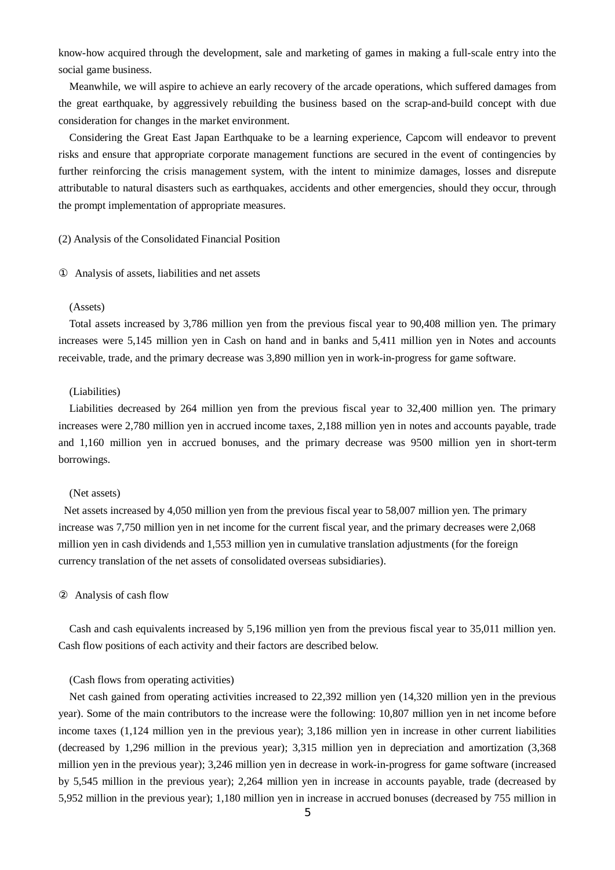know-how acquired through the development, sale and marketing of games in making a full-scale entry into the social game business.

Meanwhile, we will aspire to achieve an early recovery of the arcade operations, which suffered damages from the great earthquake, by aggressively rebuilding the business based on the scrap-and-build concept with due consideration for changes in the market environment.

Considering the Great East Japan Earthquake to be a learning experience, Capcom will endeavor to prevent risks and ensure that appropriate corporate management functions are secured in the event of contingencies by further reinforcing the crisis management system, with the intent to minimize damages, losses and disrepute attributable to natural disasters such as earthquakes, accidents and other emergencies, should they occur, through the prompt implementation of appropriate measures.

#### (2) Analysis of the Consolidated Financial Position

Analysis of assets, liabilities and net assets

#### (Assets)

Total assets increased by 3,786 million yen from the previous fiscal year to 90,408 million yen. The primary increases were 5,145 million yen in Cash on hand and in banks and 5,411 million yen in Notes and accounts receivable, trade, and the primary decrease was 3,890 million yen in work-in-progress for game software.

#### (Liabilities)

Liabilities decreased by 264 million yen from the previous fiscal year to 32,400 million yen. The primary increases were 2,780 million yen in accrued income taxes, 2,188 million yen in notes and accounts payable, trade and 1,160 million yen in accrued bonuses, and the primary decrease was 9500 million yen in short-term borrowings.

#### (Net assets)

Net assets increased by 4,050 million yen from the previous fiscal year to 58,007 million yen. The primary increase was 7,750 million yen in net income for the current fiscal year, and the primary decreases were 2,068 million yen in cash dividends and 1,553 million yen in cumulative translation adjustments (for the foreign currency translation of the net assets of consolidated overseas subsidiaries).

#### Analysis of cash flow

Cash and cash equivalents increased by 5,196 million yen from the previous fiscal year to 35,011 million yen. Cash flow positions of each activity and their factors are described below.

#### (Cash flows from operating activities)

Net cash gained from operating activities increased to 22,392 million yen (14,320 million yen in the previous year). Some of the main contributors to the increase were the following: 10,807 million yen in net income before income taxes (1,124 million yen in the previous year); 3,186 million yen in increase in other current liabilities (decreased by 1,296 million in the previous year); 3,315 million yen in depreciation and amortization (3,368 million yen in the previous year); 3,246 million yen in decrease in work-in-progress for game software (increased by 5,545 million in the previous year); 2,264 million yen in increase in accounts payable, trade (decreased by 5,952 million in the previous year); 1,180 million yen in increase in accrued bonuses (decreased by 755 million in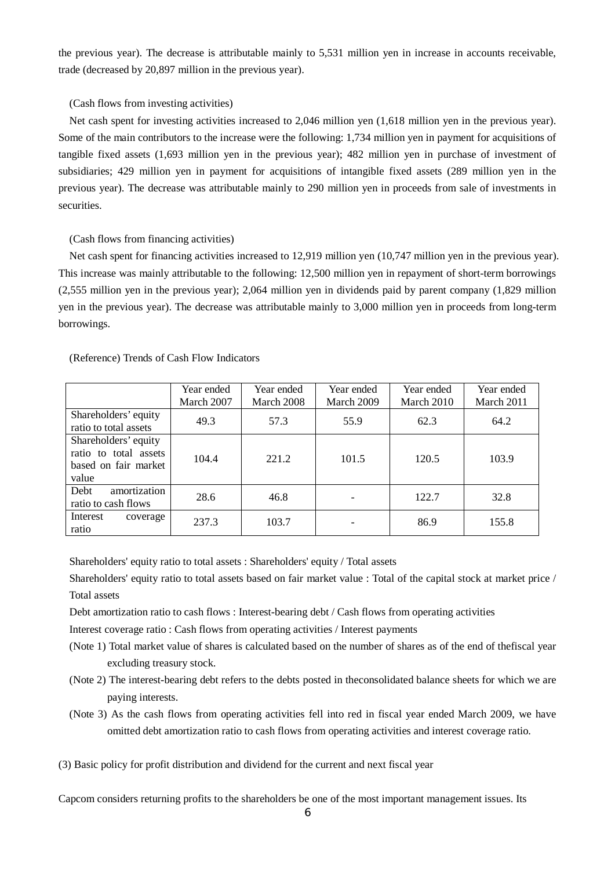the previous year). The decrease is attributable mainly to 5,531 million yen in increase in accounts receivable, trade (decreased by 20,897 million in the previous year).

#### (Cash flows from investing activities)

Net cash spent for investing activities increased to 2,046 million yen (1,618 million yen in the previous year). Some of the main contributors to the increase were the following: 1,734 million yen in payment for acquisitions of tangible fixed assets (1,693 million yen in the previous year); 482 million yen in purchase of investment of subsidiaries; 429 million yen in payment for acquisitions of intangible fixed assets (289 million yen in the previous year). The decrease was attributable mainly to 290 million yen in proceeds from sale of investments in securities.

(Cash flows from financing activities)

Net cash spent for financing activities increased to 12,919 million yen (10,747 million yen in the previous year). This increase was mainly attributable to the following: 12,500 million yen in repayment of short-term borrowings (2,555 million yen in the previous year); 2,064 million yen in dividends paid by parent company (1,829 million yen in the previous year). The decrease was attributable mainly to 3,000 million yen in proceeds from long-term borrowings.

> Year ended March 2011

Year ended March 2007 Year ended March 2008 Year ended March 2009 Year ended March 2010 Shareholders' equity ratio to total assets 49.3 | 57.3 | 55.9 | 62.3 | 64.2 Shareholders' equity ratio to total assets based on fair market value 104.4 | 221.2 | 101.5 | 120.5 | 103.9

(Reference) Trends of Cash Flow Indicators

Debt amortization ratio to cash flows

Interest coverage

ratio

Shareholders' equity ratio to total assets : Shareholders' equity / Total assets

Shareholders' equity ratio to total assets based on fair market value : Total of the capital stock at market price / Total assets

28.6 | 46.8 | - | 122.7 | 32.8

237.3 | 103.7 | - | 86.9 | 155.8

Debt amortization ratio to cash flows : Interest-bearing debt / Cash flows from operating activities

Interest coverage ratio : Cash flows from operating activities / Interest payments

- (Note 1) Total market value of shares is calculated based on the number of shares as of the end of thefiscal year excluding treasury stock.
- (Note 2) The interest-bearing debt refers to the debts posted in theconsolidated balance sheets for which we are paying interests.
- (Note 3) As the cash flows from operating activities fell into red in fiscal year ended March 2009, we have omitted debt amortization ratio to cash flows from operating activities and interest coverage ratio.

(3) Basic policy for profit distribution and dividend for the current and next fiscal year

Capcom considers returning profits to the shareholders be one of the most important management issues. Its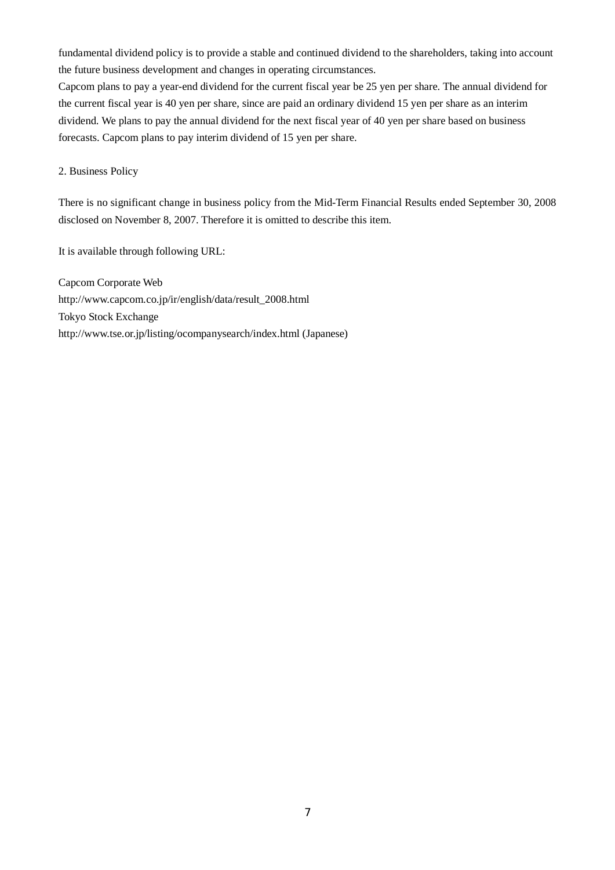fundamental dividend policy is to provide a stable and continued dividend to the shareholders, taking into account the future business development and changes in operating circumstances.

Capcom plans to pay a year-end dividend for the current fiscal year be 25 yen per share. The annual dividend for the current fiscal year is 40 yen per share, since are paid an ordinary dividend 15 yen per share as an interim dividend. We plans to pay the annual dividend for the next fiscal year of 40 yen per share based on business forecasts. Capcom plans to pay interim dividend of 15 yen per share.

2. Business Policy

There is no significant change in business policy from the Mid-Term Financial Results ended September 30, 2008 disclosed on November 8, 2007. Therefore it is omitted to describe this item.

It is available through following URL:

Capcom Corporate Web http://www.capcom.co.jp/ir/english/data/result\_2008.html Tokyo Stock Exchange http://www.tse.or.jp/listing/ocompanysearch/index.html (Japanese)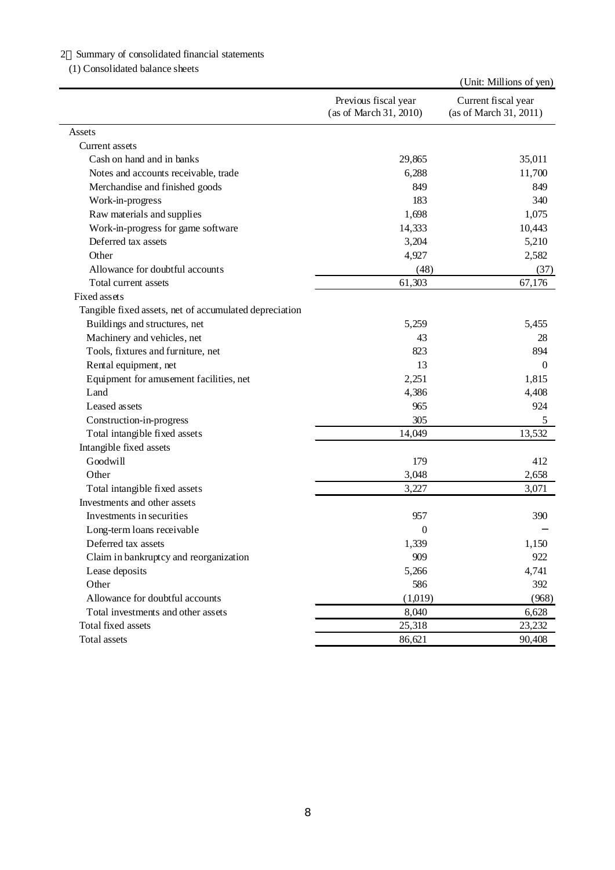# 2 Summary of consolidated financial statements

(1) Consolidated balance sheets

|                                                        |                                                | (Unit: Millions of yen)                       |
|--------------------------------------------------------|------------------------------------------------|-----------------------------------------------|
|                                                        | Previous fiscal year<br>(as of March 31, 2010) | Current fiscal year<br>(as of March 31, 2011) |
| Assets                                                 |                                                |                                               |
| Current assets                                         |                                                |                                               |
| Cash on hand and in banks                              | 29,865                                         | 35,011                                        |
| Notes and accounts receivable, trade                   | 6,288                                          | 11,700                                        |
| Merchandise and finished goods                         | 849                                            | 849                                           |
| Work-in-progress                                       | 183                                            | 340                                           |
| Raw materials and supplies                             | 1,698                                          | 1,075                                         |
| Work-in-progress for game software                     | 14,333                                         | 10,443                                        |
| Deferred tax assets                                    | 3,204                                          | 5,210                                         |
| Other                                                  | 4,927                                          | 2,582                                         |
| Allowance for doubtful accounts                        | (48)                                           | (37)                                          |
| Total current assets                                   | 61,303                                         | 67,176                                        |
| Fixed assets                                           |                                                |                                               |
| Tangible fixed assets, net of accumulated depreciation |                                                |                                               |
| Buildings and structures, net                          | 5,259                                          | 5,455                                         |
| Machinery and vehicles, net                            | 43                                             | 28                                            |
| Tools, fixtures and furniture, net                     | 823                                            | 894                                           |
| Rental equipment, net                                  | 13                                             | $\Omega$                                      |
| Equipment for amusement facilities, net                | 2,251                                          | 1,815                                         |
| Land                                                   | 4,386                                          | 4,408                                         |
| Leased as sets                                         | 965                                            | 924                                           |
| Construction-in-progress                               | 305                                            | 5                                             |
| Total intangible fixed assets                          | 14,049                                         | 13,532                                        |
| Intangible fixed assets                                |                                                |                                               |
| Goodwill                                               | 179                                            | 412                                           |
| Other                                                  | 3,048                                          | 2,658                                         |
| Total intangible fixed assets                          | 3,227                                          | 3,071                                         |
| Investments and other assets                           |                                                |                                               |
| Investments in securities                              | 957                                            | 390                                           |
| Long-term loans receivable                             | 0                                              |                                               |
| Deferred tax assets                                    | 1,339                                          | 1,150                                         |
| Claim in bankruptcy and reorganization                 | 909                                            | 922                                           |
| Lease deposits                                         | 5,266                                          | 4,741                                         |
| Other                                                  | 586                                            | 392                                           |
| Allowance for doubtful accounts                        | (1,019)                                        | (968)                                         |
| Total investments and other assets                     | 8,040                                          | 6,628                                         |
| Total fixed assets                                     | 25,318                                         | 23,232                                        |
| Total assets                                           | 86,621                                         | 90,408                                        |
|                                                        |                                                |                                               |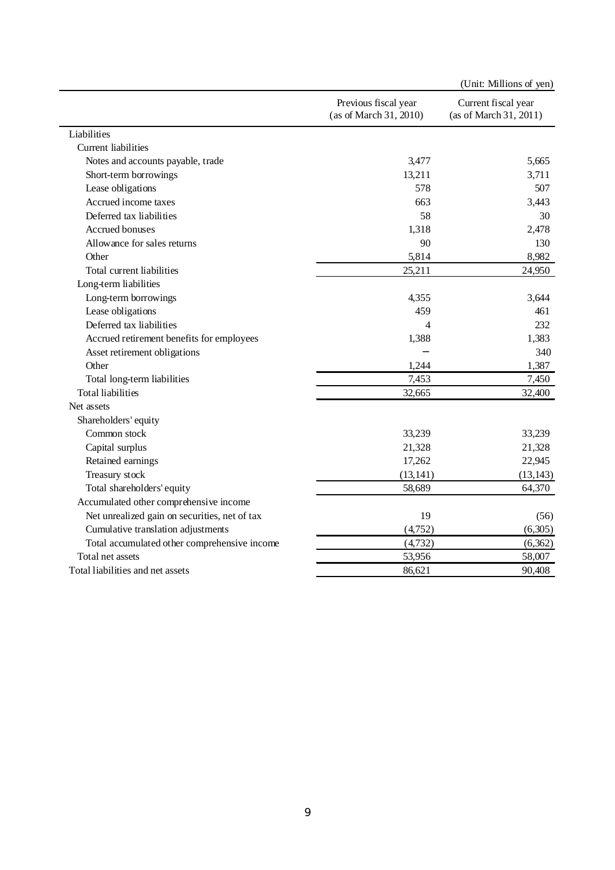|                                               |                                                | (Unit: Millions of yen)                       |
|-----------------------------------------------|------------------------------------------------|-----------------------------------------------|
|                                               | Previous fiscal year<br>(as of March 31, 2010) | Current fiscal year<br>(as of March 31, 2011) |
| Liabilities                                   |                                                |                                               |
| <b>Current liabilities</b>                    |                                                |                                               |
| Notes and accounts payable, trade             | 3,477                                          | 5,665                                         |
| Short-term borrowings                         | 13,211                                         | 3,711                                         |
| Lease obligations                             | 578                                            | 507                                           |
| Accrued income taxes                          | 663                                            | 3,443                                         |
| Deferred tax liabilities                      | 58                                             | 30                                            |
| Accrued bonuses                               | 1,318                                          | 2,478                                         |
| Allowance for sales returns                   | 90                                             | 130                                           |
| Other                                         | 5,814                                          | 8,982                                         |
| Total current liabilities                     | 25,211                                         | 24,950                                        |
| Long-term liabilities                         |                                                |                                               |
| Long-term borrowings                          | 4,355                                          | 3.644                                         |
| Lease obligations                             | 459                                            | 461                                           |
| Deferred tax liabilities                      | 4                                              | 232                                           |
| Accrued retirement benefits for employees     | 1,388                                          | 1,383                                         |
| Asset retirement obligations                  |                                                | 340                                           |
| Other                                         | 1,244                                          | 1,387                                         |
| Total long-term liabilities                   | 7,453                                          | 7,450                                         |
| Total liabilities                             | 32,665                                         | 32,400                                        |
| Net assets                                    |                                                |                                               |
| Shareholders' equity                          |                                                |                                               |
| Common stock                                  | 33,239                                         | 33,239                                        |
| Capital surplus                               | 21,328                                         | 21,328                                        |
| Retained earnings                             | 17,262                                         | 22,945                                        |
| Treasury stock                                | (13, 141)                                      | (13, 143)                                     |
| Total shareholders' equity                    | 58,689                                         | 64,370                                        |
| Accumulated other comprehensive income        |                                                |                                               |
| Net unrealized gain on securities, net of tax | 19                                             | (56)                                          |
| Cumulative translation adjustments            | (4,752)                                        | (6,305)                                       |
| Total accumulated other comprehensive income  | (4, 732)                                       | (6,362)                                       |
| Total net assets                              | 53,956                                         | 58,007                                        |
| Total liabilities and net assets              | 86,621                                         | 90,408                                        |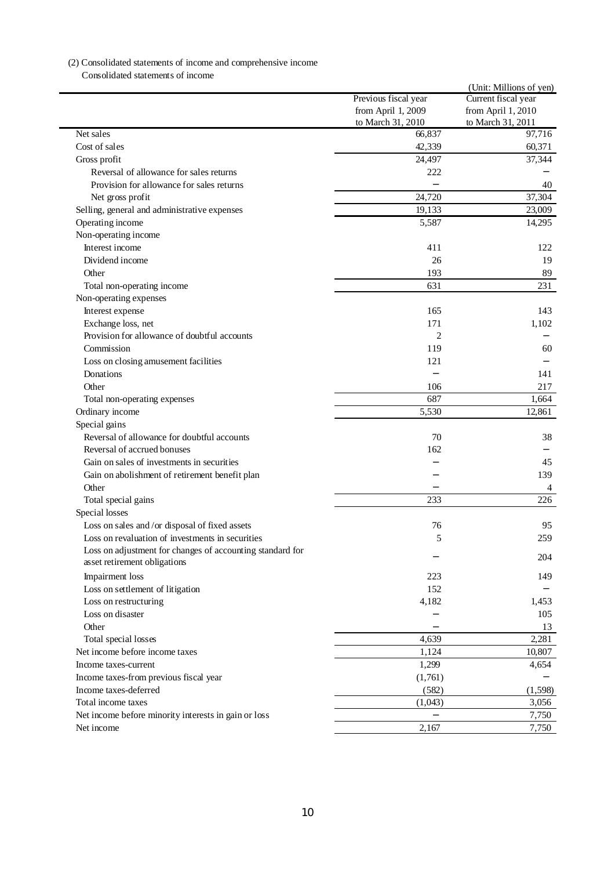# (2) Consolidated statements of income and comprehensive income

Consolidated statements of income

|                                                                                           | Previous fiscal year<br>from April 1, 2009<br>to March 31, 2010 | (Unit: Millions of yen)<br>Current fiscal year<br>from April 1, 2010<br>to March 31, 2011 |
|-------------------------------------------------------------------------------------------|-----------------------------------------------------------------|-------------------------------------------------------------------------------------------|
| Net sales                                                                                 | 66,837                                                          | 97,716                                                                                    |
| Cost of sales                                                                             | 42,339                                                          | 60,371                                                                                    |
| Gross profit                                                                              | 24,497                                                          | 37,344                                                                                    |
| Reversal of allowance for sales returns                                                   | 222                                                             |                                                                                           |
| Provision for allowance for sales returns                                                 |                                                                 | 40                                                                                        |
| Net gross profit                                                                          | 24,720                                                          | 37,304                                                                                    |
| Selling, general and administrative expenses                                              | 19,133                                                          | 23,009                                                                                    |
| Operating income                                                                          | 5,587                                                           | 14,295                                                                                    |
| Non-operating income                                                                      |                                                                 |                                                                                           |
| Interest income                                                                           | 411                                                             | 122                                                                                       |
| Dividend income                                                                           | 26                                                              | 19                                                                                        |
| Other                                                                                     | 193                                                             | 89                                                                                        |
| Total non-operating income                                                                | 631                                                             | 231                                                                                       |
| Non-operating expenses                                                                    |                                                                 |                                                                                           |
| Interest expense                                                                          | 165                                                             | 143                                                                                       |
| Exchange loss, net                                                                        | 171                                                             | 1,102                                                                                     |
| Provision for allowance of doubtful accounts                                              | 2                                                               |                                                                                           |
| Commission                                                                                | 119                                                             | 60                                                                                        |
| Loss on closing amusement facilities                                                      | 121                                                             |                                                                                           |
| Donations                                                                                 |                                                                 | 141                                                                                       |
| Other                                                                                     | 106                                                             | 217                                                                                       |
| Total non-operating expenses                                                              | 687                                                             | 1,664                                                                                     |
|                                                                                           | 5,530                                                           | 12,861                                                                                    |
| Ordinary income                                                                           |                                                                 |                                                                                           |
| Special gains                                                                             | 70                                                              | 38                                                                                        |
| Reversal of allowance for doubtful accounts                                               |                                                                 |                                                                                           |
| Reversal of accrued bonuses                                                               | 162                                                             |                                                                                           |
| Gain on sales of investments in securities                                                |                                                                 | 45                                                                                        |
| Gain on abolishment of retirement benefit plan                                            |                                                                 | 139                                                                                       |
| Other                                                                                     |                                                                 | 4                                                                                         |
| Total special gains                                                                       | 233                                                             | 226                                                                                       |
| Special losses                                                                            |                                                                 |                                                                                           |
| Loss on sales and/or disposal of fixed assets                                             | 76                                                              | 95                                                                                        |
| Loss on revaluation of investments in securities                                          | 5                                                               | 259                                                                                       |
| Loss on adjustment for changes of accounting standard for<br>asset retirement obligations |                                                                 | 204                                                                                       |
| Impairment loss                                                                           | 223                                                             | 149                                                                                       |
| Loss on settlement of litigation                                                          | 152                                                             |                                                                                           |
| Loss on restructuring                                                                     | 4,182                                                           | 1,453                                                                                     |
| Loss on disaster                                                                          |                                                                 | 105                                                                                       |
| Other                                                                                     |                                                                 | 13                                                                                        |
| Total special losses                                                                      | 4,639                                                           | 2,281                                                                                     |
| Net income before income taxes                                                            | 1,124                                                           | 10,807                                                                                    |
| Income taxes-current                                                                      | 1,299                                                           | 4,654                                                                                     |
| Income taxes-from previous fiscal year                                                    | (1,761)                                                         |                                                                                           |
| Income taxes-deferred                                                                     | (582)                                                           | (1, 598)                                                                                  |
| Total income taxes                                                                        | (1,043)                                                         | 3,056                                                                                     |
| Net income before minority interests in gain or loss                                      |                                                                 | 7,750                                                                                     |
| Net income                                                                                | 2,167                                                           | 7,750                                                                                     |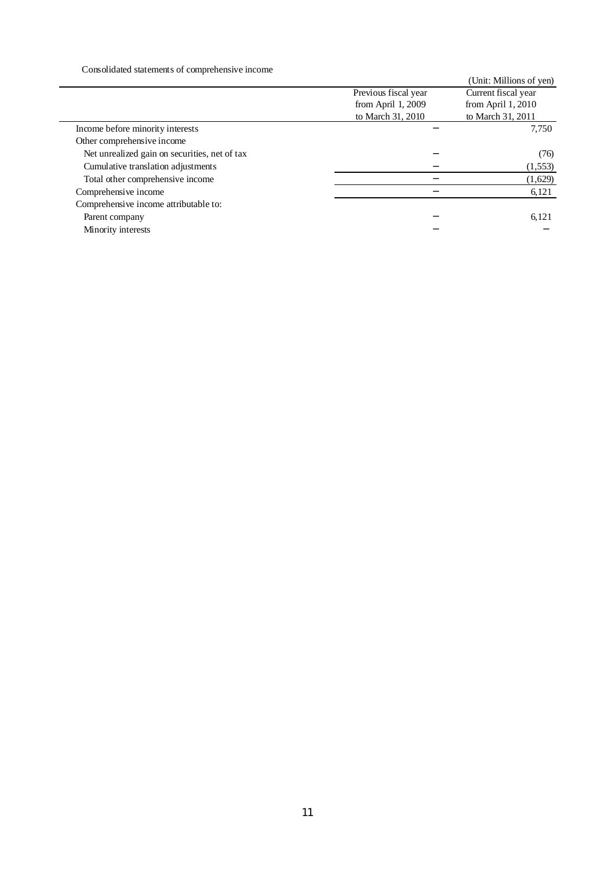Consolidated statements of comprehensive income

| <u>onoonaaloo olafentaho ol eomprehematte meomie</u> |                      |                         |
|------------------------------------------------------|----------------------|-------------------------|
|                                                      |                      | (Unit: Millions of yen) |
|                                                      | Previous fiscal year | Current fiscal year     |
|                                                      | from April $1,2009$  | from April $1,2010$     |
|                                                      | to March 31, 2010    | to March 31, 2011       |
| Income before minority interests                     |                      | 7,750                   |
| Other comprehensive income                           |                      |                         |
| Net unrealized gain on securities, net of tax        |                      | (76)                    |
| Cumulative translation adjustments                   |                      | (1, 553)                |
| Total other comprehensive income                     |                      | (1,629)                 |
| Comprehensive income                                 |                      | 6,121                   |
| Comprehensive income attributable to:                |                      |                         |
| Parent company                                       |                      | 6,121                   |
| Minority interests                                   |                      |                         |
|                                                      |                      |                         |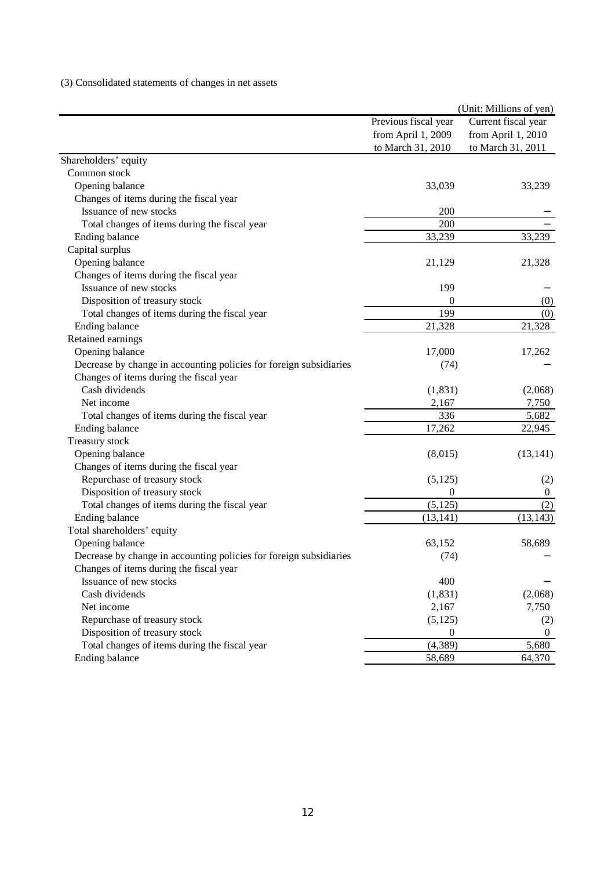# (3) Consolidated statements of changes in net assets

| Previous fiscal year<br>from April 1, 2009                         |                | Current fiscal year<br>from April 1, 2010 |
|--------------------------------------------------------------------|----------------|-------------------------------------------|
|                                                                    |                |                                           |
|                                                                    |                |                                           |
| to March 31, 2010                                                  |                | to March 31, 2011                         |
| Shareholders' equity                                               |                |                                           |
| Common stock                                                       |                |                                           |
| Opening balance                                                    | 33,039         | 33,239                                    |
| Changes of items during the fiscal year                            |                |                                           |
| Issuance of new stocks                                             | 200            |                                           |
| Total changes of items during the fiscal year                      | 200            |                                           |
| Ending balance                                                     | 33,239         | 33,239                                    |
| Capital surplus                                                    |                |                                           |
| Opening balance                                                    | 21,129         | 21,328                                    |
| Changes of items during the fiscal year                            |                |                                           |
| Issuance of new stocks                                             | 199            |                                           |
| Disposition of treasury stock                                      | 0              | (0)                                       |
| Total changes of items during the fiscal year                      | 199            | (0)                                       |
| Ending balance                                                     | 21,328         | 21,328                                    |
| Retained earnings                                                  |                |                                           |
| Opening balance                                                    | 17,000         | 17,262                                    |
| Decrease by change in accounting policies for foreign subsidiaries | (74)           |                                           |
| Changes of items during the fiscal year                            |                |                                           |
| Cash dividends                                                     | (1, 831)       | (2,068)                                   |
| Net income                                                         | 2,167          | 7,750                                     |
| Total changes of items during the fiscal year                      | 336            | 5,682                                     |
| Ending balance                                                     | 17,262         | 22,945                                    |
| Treasury stock                                                     |                |                                           |
| Opening balance                                                    | (8,015)        | (13, 141)                                 |
| Changes of items during the fiscal year                            |                |                                           |
| Repurchase of treasury stock                                       | (5, 125)       | (2)                                       |
| Disposition of treasury stock                                      | $\Omega$       | $\mathbf{0}$                              |
| Total changes of items during the fiscal year                      | (5, 125)       | (2)                                       |
| Ending balance                                                     | (13, 141)      | (13, 143)                                 |
| Total shareholders' equity                                         |                |                                           |
| Opening balance                                                    | 63,152         | 58,689                                    |
| Decrease by change in accounting policies for foreign subsidiaries | (74)           |                                           |
| Changes of items during the fiscal year                            |                |                                           |
| Issuance of new stocks                                             | 400            |                                           |
| Cash dividends                                                     | (1, 831)       | (2,068)                                   |
| Net income                                                         | 2,167          | 7,750                                     |
| Repurchase of treasury stock                                       | (5, 125)       | (2)                                       |
| Disposition of treasury stock                                      | $\overline{0}$ | $\overline{0}$                            |
| Total changes of items during the fiscal year                      | (4, 389)       | 5,680                                     |
| Ending balance                                                     | 58,689         | 64,370                                    |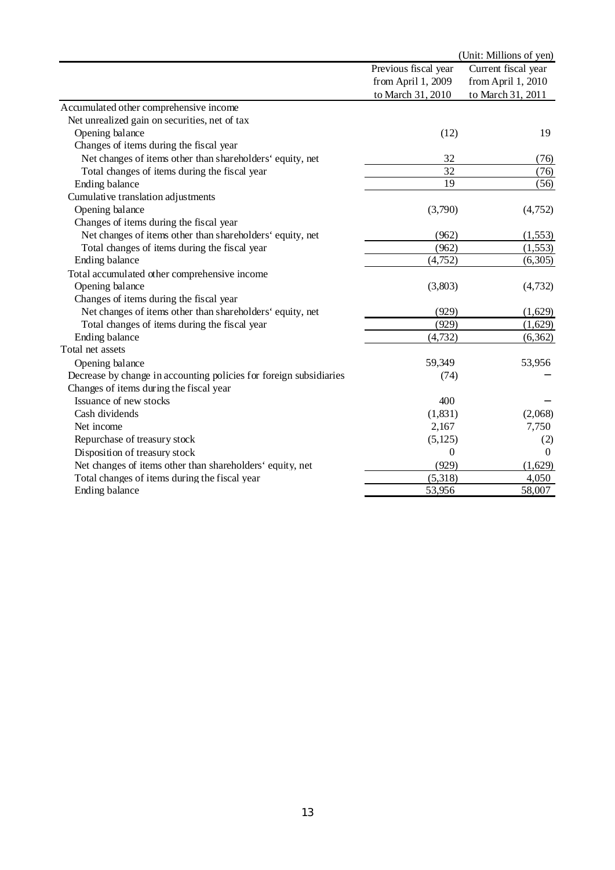| Previous fiscal year<br>Current fiscal year<br>from April 1, 2009<br>from April 1, 2010<br>to March 31, 2011<br>to March 31, 2010<br>Accumulated other comprehensive income<br>Net unrealized gain on securities, net of tax<br>Opening balance<br>(12)<br>19<br>Changes of items during the fiscal year<br>Net changes of items other than shareholders' equity, net<br>32<br>(76)<br>32<br>Total changes of items during the fiscal year<br>(76)<br>19<br>(56)<br>Ending balance<br>Cumulative translation adjustments<br>Opening balance<br>(3,790)<br>(4,752)<br>Changes of items during the fiscal year<br>Net changes of items other than shareholders' equity, net<br>(962)<br>(1, 553)<br>(962)<br>(1, 553)<br>Total changes of items during the fiscal year<br><b>Ending balance</b><br>(4,752)<br>(6,305)<br>Total accumulated other comprehensive income<br>Opening balance<br>(3,803)<br>(4, 732)<br>Changes of items during the fiscal year<br>Net changes of items other than shareholders' equity, net<br>(929)<br>(1,629)<br>(929)<br>Total changes of items during the fiscal year<br>(1,629)<br>Ending balance<br>(6, 362)<br>(4, 732)<br>Total net assets<br>59,349<br>53,956<br>Opening balance<br>Decrease by change in accounting policies for foreign subsidiaries<br>(74)<br>Changes of items during the fiscal year<br>Issuance of new stocks<br>400<br>Cash dividends<br>(2,068)<br>(1, 831)<br>7,750<br>Net income<br>2,167<br>Repurchase of treasury stock<br>(5, 125)<br>(2)<br>Disposition of treasury stock<br>$\Omega$<br>$\Omega$<br>Net changes of items other than shareholders' equity, net<br>(929)<br>(1,629)<br>(5,318)<br>Total changes of items during the fiscal year<br>4,050<br><b>Ending balance</b><br>58,007<br>53,956 |  | (Unit: Millions of yen) |
|-----------------------------------------------------------------------------------------------------------------------------------------------------------------------------------------------------------------------------------------------------------------------------------------------------------------------------------------------------------------------------------------------------------------------------------------------------------------------------------------------------------------------------------------------------------------------------------------------------------------------------------------------------------------------------------------------------------------------------------------------------------------------------------------------------------------------------------------------------------------------------------------------------------------------------------------------------------------------------------------------------------------------------------------------------------------------------------------------------------------------------------------------------------------------------------------------------------------------------------------------------------------------------------------------------------------------------------------------------------------------------------------------------------------------------------------------------------------------------------------------------------------------------------------------------------------------------------------------------------------------------------------------------------------------------------------------------------------------------------------------------------------------|--|-------------------------|
|                                                                                                                                                                                                                                                                                                                                                                                                                                                                                                                                                                                                                                                                                                                                                                                                                                                                                                                                                                                                                                                                                                                                                                                                                                                                                                                                                                                                                                                                                                                                                                                                                                                                                                                                                                       |  |                         |
|                                                                                                                                                                                                                                                                                                                                                                                                                                                                                                                                                                                                                                                                                                                                                                                                                                                                                                                                                                                                                                                                                                                                                                                                                                                                                                                                                                                                                                                                                                                                                                                                                                                                                                                                                                       |  |                         |
|                                                                                                                                                                                                                                                                                                                                                                                                                                                                                                                                                                                                                                                                                                                                                                                                                                                                                                                                                                                                                                                                                                                                                                                                                                                                                                                                                                                                                                                                                                                                                                                                                                                                                                                                                                       |  |                         |
|                                                                                                                                                                                                                                                                                                                                                                                                                                                                                                                                                                                                                                                                                                                                                                                                                                                                                                                                                                                                                                                                                                                                                                                                                                                                                                                                                                                                                                                                                                                                                                                                                                                                                                                                                                       |  |                         |
|                                                                                                                                                                                                                                                                                                                                                                                                                                                                                                                                                                                                                                                                                                                                                                                                                                                                                                                                                                                                                                                                                                                                                                                                                                                                                                                                                                                                                                                                                                                                                                                                                                                                                                                                                                       |  |                         |
|                                                                                                                                                                                                                                                                                                                                                                                                                                                                                                                                                                                                                                                                                                                                                                                                                                                                                                                                                                                                                                                                                                                                                                                                                                                                                                                                                                                                                                                                                                                                                                                                                                                                                                                                                                       |  |                         |
|                                                                                                                                                                                                                                                                                                                                                                                                                                                                                                                                                                                                                                                                                                                                                                                                                                                                                                                                                                                                                                                                                                                                                                                                                                                                                                                                                                                                                                                                                                                                                                                                                                                                                                                                                                       |  |                         |
|                                                                                                                                                                                                                                                                                                                                                                                                                                                                                                                                                                                                                                                                                                                                                                                                                                                                                                                                                                                                                                                                                                                                                                                                                                                                                                                                                                                                                                                                                                                                                                                                                                                                                                                                                                       |  |                         |
|                                                                                                                                                                                                                                                                                                                                                                                                                                                                                                                                                                                                                                                                                                                                                                                                                                                                                                                                                                                                                                                                                                                                                                                                                                                                                                                                                                                                                                                                                                                                                                                                                                                                                                                                                                       |  |                         |
|                                                                                                                                                                                                                                                                                                                                                                                                                                                                                                                                                                                                                                                                                                                                                                                                                                                                                                                                                                                                                                                                                                                                                                                                                                                                                                                                                                                                                                                                                                                                                                                                                                                                                                                                                                       |  |                         |
|                                                                                                                                                                                                                                                                                                                                                                                                                                                                                                                                                                                                                                                                                                                                                                                                                                                                                                                                                                                                                                                                                                                                                                                                                                                                                                                                                                                                                                                                                                                                                                                                                                                                                                                                                                       |  |                         |
|                                                                                                                                                                                                                                                                                                                                                                                                                                                                                                                                                                                                                                                                                                                                                                                                                                                                                                                                                                                                                                                                                                                                                                                                                                                                                                                                                                                                                                                                                                                                                                                                                                                                                                                                                                       |  |                         |
|                                                                                                                                                                                                                                                                                                                                                                                                                                                                                                                                                                                                                                                                                                                                                                                                                                                                                                                                                                                                                                                                                                                                                                                                                                                                                                                                                                                                                                                                                                                                                                                                                                                                                                                                                                       |  |                         |
|                                                                                                                                                                                                                                                                                                                                                                                                                                                                                                                                                                                                                                                                                                                                                                                                                                                                                                                                                                                                                                                                                                                                                                                                                                                                                                                                                                                                                                                                                                                                                                                                                                                                                                                                                                       |  |                         |
|                                                                                                                                                                                                                                                                                                                                                                                                                                                                                                                                                                                                                                                                                                                                                                                                                                                                                                                                                                                                                                                                                                                                                                                                                                                                                                                                                                                                                                                                                                                                                                                                                                                                                                                                                                       |  |                         |
|                                                                                                                                                                                                                                                                                                                                                                                                                                                                                                                                                                                                                                                                                                                                                                                                                                                                                                                                                                                                                                                                                                                                                                                                                                                                                                                                                                                                                                                                                                                                                                                                                                                                                                                                                                       |  |                         |
|                                                                                                                                                                                                                                                                                                                                                                                                                                                                                                                                                                                                                                                                                                                                                                                                                                                                                                                                                                                                                                                                                                                                                                                                                                                                                                                                                                                                                                                                                                                                                                                                                                                                                                                                                                       |  |                         |
|                                                                                                                                                                                                                                                                                                                                                                                                                                                                                                                                                                                                                                                                                                                                                                                                                                                                                                                                                                                                                                                                                                                                                                                                                                                                                                                                                                                                                                                                                                                                                                                                                                                                                                                                                                       |  |                         |
|                                                                                                                                                                                                                                                                                                                                                                                                                                                                                                                                                                                                                                                                                                                                                                                                                                                                                                                                                                                                                                                                                                                                                                                                                                                                                                                                                                                                                                                                                                                                                                                                                                                                                                                                                                       |  |                         |
|                                                                                                                                                                                                                                                                                                                                                                                                                                                                                                                                                                                                                                                                                                                                                                                                                                                                                                                                                                                                                                                                                                                                                                                                                                                                                                                                                                                                                                                                                                                                                                                                                                                                                                                                                                       |  |                         |
|                                                                                                                                                                                                                                                                                                                                                                                                                                                                                                                                                                                                                                                                                                                                                                                                                                                                                                                                                                                                                                                                                                                                                                                                                                                                                                                                                                                                                                                                                                                                                                                                                                                                                                                                                                       |  |                         |
|                                                                                                                                                                                                                                                                                                                                                                                                                                                                                                                                                                                                                                                                                                                                                                                                                                                                                                                                                                                                                                                                                                                                                                                                                                                                                                                                                                                                                                                                                                                                                                                                                                                                                                                                                                       |  |                         |
|                                                                                                                                                                                                                                                                                                                                                                                                                                                                                                                                                                                                                                                                                                                                                                                                                                                                                                                                                                                                                                                                                                                                                                                                                                                                                                                                                                                                                                                                                                                                                                                                                                                                                                                                                                       |  |                         |
|                                                                                                                                                                                                                                                                                                                                                                                                                                                                                                                                                                                                                                                                                                                                                                                                                                                                                                                                                                                                                                                                                                                                                                                                                                                                                                                                                                                                                                                                                                                                                                                                                                                                                                                                                                       |  |                         |
|                                                                                                                                                                                                                                                                                                                                                                                                                                                                                                                                                                                                                                                                                                                                                                                                                                                                                                                                                                                                                                                                                                                                                                                                                                                                                                                                                                                                                                                                                                                                                                                                                                                                                                                                                                       |  |                         |
|                                                                                                                                                                                                                                                                                                                                                                                                                                                                                                                                                                                                                                                                                                                                                                                                                                                                                                                                                                                                                                                                                                                                                                                                                                                                                                                                                                                                                                                                                                                                                                                                                                                                                                                                                                       |  |                         |
|                                                                                                                                                                                                                                                                                                                                                                                                                                                                                                                                                                                                                                                                                                                                                                                                                                                                                                                                                                                                                                                                                                                                                                                                                                                                                                                                                                                                                                                                                                                                                                                                                                                                                                                                                                       |  |                         |
|                                                                                                                                                                                                                                                                                                                                                                                                                                                                                                                                                                                                                                                                                                                                                                                                                                                                                                                                                                                                                                                                                                                                                                                                                                                                                                                                                                                                                                                                                                                                                                                                                                                                                                                                                                       |  |                         |
|                                                                                                                                                                                                                                                                                                                                                                                                                                                                                                                                                                                                                                                                                                                                                                                                                                                                                                                                                                                                                                                                                                                                                                                                                                                                                                                                                                                                                                                                                                                                                                                                                                                                                                                                                                       |  |                         |
|                                                                                                                                                                                                                                                                                                                                                                                                                                                                                                                                                                                                                                                                                                                                                                                                                                                                                                                                                                                                                                                                                                                                                                                                                                                                                                                                                                                                                                                                                                                                                                                                                                                                                                                                                                       |  |                         |
|                                                                                                                                                                                                                                                                                                                                                                                                                                                                                                                                                                                                                                                                                                                                                                                                                                                                                                                                                                                                                                                                                                                                                                                                                                                                                                                                                                                                                                                                                                                                                                                                                                                                                                                                                                       |  |                         |
|                                                                                                                                                                                                                                                                                                                                                                                                                                                                                                                                                                                                                                                                                                                                                                                                                                                                                                                                                                                                                                                                                                                                                                                                                                                                                                                                                                                                                                                                                                                                                                                                                                                                                                                                                                       |  |                         |
|                                                                                                                                                                                                                                                                                                                                                                                                                                                                                                                                                                                                                                                                                                                                                                                                                                                                                                                                                                                                                                                                                                                                                                                                                                                                                                                                                                                                                                                                                                                                                                                                                                                                                                                                                                       |  |                         |
|                                                                                                                                                                                                                                                                                                                                                                                                                                                                                                                                                                                                                                                                                                                                                                                                                                                                                                                                                                                                                                                                                                                                                                                                                                                                                                                                                                                                                                                                                                                                                                                                                                                                                                                                                                       |  |                         |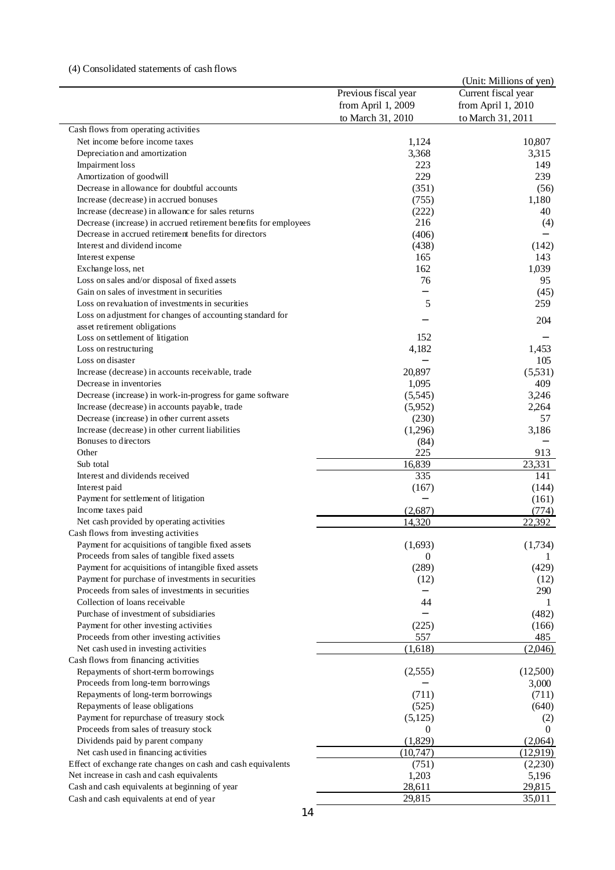## (4) Consolidated statements of cash flows

|                                                                  |                      | (Unit: Millions of yen) |
|------------------------------------------------------------------|----------------------|-------------------------|
|                                                                  | Previous fiscal year | Current fiscal year     |
|                                                                  | from April 1, 2009   | from April 1, 2010      |
|                                                                  | to March 31, 2010    | to March 31, 2011       |
| Cash flows from operating activities                             |                      |                         |
| Net income before income taxes                                   | 1,124                | 10,807                  |
| Depreciation and amortization                                    | 3,368                | 3,315                   |
| <b>Impairment</b> loss                                           | 223                  | 149                     |
| Amortization of goodwill                                         | 229                  | 239                     |
| Decrease in allowance for doubtful accounts                      | (351)                | (56)                    |
| Increase (decrease) in accrued bonuses                           | (755)                | 1,180                   |
| Increase (decrease) in allowance for sales returns               | (222)                | 40                      |
| Decrease (increase) in accrued retirement benefits for employees | 216                  | (4)                     |
| Decrease in accrued retirement benefits for directors            | (406)                |                         |
| Interest and dividend income                                     | (438)                | (142)                   |
| Interest expense                                                 | 165                  | 143                     |
| Exchange loss, net                                               | 162                  | 1,039                   |
| Loss on sales and/or disposal of fixed assets                    | 76                   | 95                      |
| Gain on sales of investment in securities                        |                      | (45)                    |
| Loss on revaluation of investments in securities                 | 5                    | 259                     |
| Loss on adjustment for changes of accounting standard for        |                      | 204                     |
| asset retirement obligations                                     |                      |                         |
| Loss on settlement of litigation                                 | 152                  |                         |
| Loss on restructuring                                            | 4,182                | 1,453                   |
| Loss on disaster                                                 |                      | 105                     |
| Increase (decrease) in accounts receivable, trade                | 20,897               | (5,531)                 |
| Decrease in inventories                                          | 1,095                | 409                     |
| Decrease (increase) in work-in-progress for game software        | (5,545)              | 3,246                   |
| Increase (decrease) in accounts payable, trade                   | (5,952)              | 2,264                   |
| Decrease (increase) in other current assets                      | (230)                | 57                      |
| Increase (decrease) in other current liabilities                 | (1,296)              | 3,186                   |
| Bonuses to directors                                             | (84)                 |                         |
| Other                                                            | 225                  | 913                     |
| Sub total<br>Interest and dividends received                     | 16,839<br>335        | 23,331                  |
|                                                                  |                      | 141<br>(144)            |
| Interest paid<br>Payment for settlement of litigation            | (167)                | (161)                   |
| Income taxes paid                                                | (2,687)              | (774)                   |
| Net cash provided by operating activities                        | 14,320               | 22.392                  |
| Cash flows from investing activities                             |                      |                         |
| Payment for acquisitions of tangible fixed assets                | (1,693)              | (1,734)                 |
| Proceeds from sales of tangible fixed assets                     | 0                    |                         |
| Payment for acquisitions of intangible fixed assets              | (289)                | (429)                   |
| Payment for purchase of investments in securities                | (12)                 | (12)                    |
| Proceeds from sales of investments in securities                 |                      | 290                     |
| Collection of loans receivable                                   | 44                   | 1                       |
| Purchase of investment of subsidiaries                           |                      | (482)                   |
| Payment for other investing activities                           | (225)                | (166)                   |
| Proceeds from other investing activities                         | 557                  | 485                     |
| Net cash used in investing activities                            | (1,618)              | (2,046)                 |
| Cash flows from financing activities                             |                      |                         |
| Repayments of short-term borrowings                              | (2, 555)             | (12,500)                |
| Proceeds from long-term borrowings                               |                      | 3,000                   |
| Repayments of long-term borrowings                               | (711)                | (711)                   |
| Repayments of lease obligations                                  | (525)                | (640)                   |
| Payment for repurchase of treasury stock                         | (5, 125)             | (2)                     |
| Proceeds from sales of treasury stock                            | $\theta$             | $\theta$                |
| Dividends paid by parent company                                 | (1,829)              | (2,064)                 |
| Net cash used in financing activities                            | (10, 747)            | (12.919)                |
| Effect of exchange rate changes on cash and cash equivalents     | (751)                | (2,230)                 |
| Net increase in cash and cash equivalents                        | 1,203                | 5,196                   |
| Cash and cash equivalents at beginning of year                   | 28,611               | 29,815                  |
| Cash and cash equivalents at end of year                         | 29,815               | 35,011                  |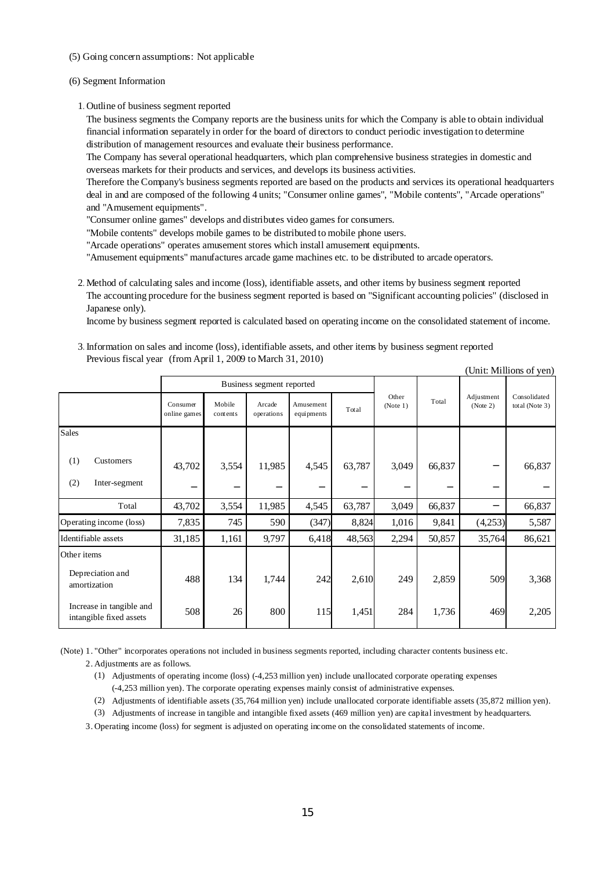- (5) Going concern assumptions: Not applicable
- (6) Segment Information
	- 1.Outline of business segment reported

The business segments the Company reports are the business units for which the Company is able to obtain individual financial information separately in order for the board of directors to conduct periodic investigation to determine distribution of management resources and evaluate their business performance.

The Company has several operational headquarters, which plan comprehensive business strategies in domestic and overseas markets for their products and services, and develops its business activities.

Therefore the Company's business segments reported are based on the products and services its operational headquarters deal in and are composed of the following 4 units; "Consumer online games", "Mobile contents", "Arcade operations" and "Amusement equipments".

"Consumer online games" develops and distributes video games for consumers.

"Mobile contents" develops mobile games to be distributed to mobile phone users.

"Arcade operations" operates amusement stores which install amusement equipments.

"Amusement equipments" manufactures arcade game machines etc. to be distributed to arcade operators.

2.Method of calculating sales and income (loss), identifiable assets, and other items by business segment reported The accounting procedure for the business segment reported is based on "Significant accounting policies" (disclosed in Japanese only).

Income by business segment reported is calculated based on operating income on the consolidated statement of income.

3.Information on sales and income (loss), identifiable assets, and other items by business segment reported Previous fiscal year (from April 1, 2009 to March 31, 2010)  $(\text{Unit: Millions of von})$ 

|                                                     |                          |                           |                      |                         |        |                   |        |                        | UIII. MIHIUIIS UI VUI          |
|-----------------------------------------------------|--------------------------|---------------------------|----------------------|-------------------------|--------|-------------------|--------|------------------------|--------------------------------|
|                                                     |                          | Business segment reported |                      |                         |        |                   |        |                        |                                |
|                                                     | Consumer<br>online games | Mobile<br>contents        | Arcade<br>operations | Amusement<br>equipments | Total  | Other<br>(Note 1) | Total  | Adjustment<br>(Note 2) | Consolidated<br>total (Note 3) |
| <b>Sales</b>                                        |                          |                           |                      |                         |        |                   |        |                        |                                |
| (1)<br>Customers<br>(2)<br>Inter-segment            | 43,702                   | 3,554                     | 11,985               | 4,545                   | 63,787 | 3,049             | 66,837 |                        | 66,837                         |
| Total                                               | 43,702                   | 3,554                     | 11,985               | 4,545                   | 63,787 | 3,049             | 66,837 |                        | 66,837                         |
| Operating income (loss)                             | 7,835                    | 745                       | 590                  | (347)                   | 8,824  | 1,016             | 9,841  | (4,253)                | 5,587                          |
| Identifiable assets                                 | 31,185                   | 1,161                     | 9,797                | 6,418                   | 48,563 | 2,294             | 50,857 | 35,764                 | 86,621                         |
| Other items                                         |                          |                           |                      |                         |        |                   |        |                        |                                |
| Depreciation and<br>amortization                    | 488                      | 134                       | 1,744                | 242                     | 2,610  | 249               | 2,859  | 509                    | 3,368                          |
| Increase in tangible and<br>intangible fixed assets | 508                      | 26                        | 800                  | 115                     | 1,451  | 284               | 1,736  | 469                    | 2,205                          |

(Note) 1. "Other" incorporates operations not included in business segments reported, including character contents business etc.

- 2. Adjustments are as follows.
	- (1) Adjustments of operating income (loss) (-4,253 million yen) include unallocated corporate operating expenses (-4,253 million yen). The corporate operating expenses mainly consist of administrative expenses.
	- (2) Adjustments of identifiable assets (35,764 million yen) include unallocated corporate identifiable assets (35,872 million yen).
	- (3) Adjustments of increase in tangible and intangible fixed assets (469 million yen) are capital investment by headquarters.

3. Operating income (loss) for segment is adjusted on operating income on the consolidated statements of income.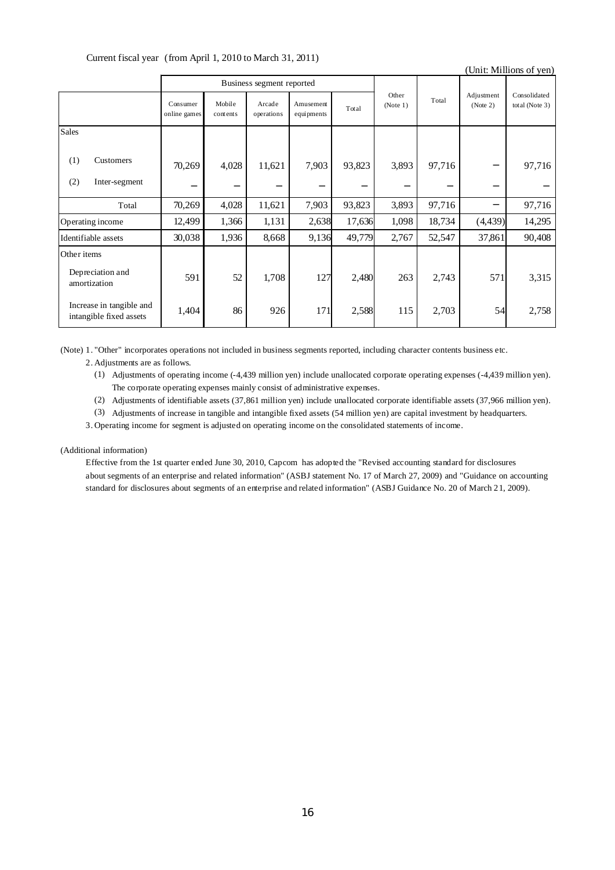Current fiscal year (from April 1, 2010 to March 31, 2011)

|                                                     |                          |                           |                      |                         |        |                   |        |                        | (Unit: Millions of yen)        |
|-----------------------------------------------------|--------------------------|---------------------------|----------------------|-------------------------|--------|-------------------|--------|------------------------|--------------------------------|
|                                                     |                          | Business segment reported |                      |                         |        |                   |        |                        |                                |
|                                                     | Consumer<br>online games | Mobile<br>contents        | Arcade<br>operations | Amusement<br>equipments | Total  | Other<br>(Note 1) | Total  | Adjustment<br>(Note 2) | Consolidated<br>total (Note 3) |
| <b>Sales</b>                                        |                          |                           |                      |                         |        |                   |        |                        |                                |
| (1)<br>Customers<br>(2)<br>Inter-segment            | 70,269                   | 4,028                     | 11,621               | 7,903                   | 93,823 | 3,893             | 97,716 |                        | 97,716                         |
| Total                                               | 70,269                   | 4,028                     | 11,621               | 7,903                   | 93,823 | 3,893             | 97,716 |                        | 97,716                         |
| Operating income                                    | 12,499                   | 1,366                     | 1,131                | 2,638                   | 17,636 | 1,098             | 18,734 | (4, 439)               | 14,295                         |
| Identifiable assets                                 | 30,038                   | 1,936                     | 8,668                | 9,136                   | 49,779 | 2,767             | 52,547 | 37,861                 | 90,408                         |
| Other items                                         |                          |                           |                      |                         |        |                   |        |                        |                                |
| Depreciation and<br>amortization                    | 591                      | 52                        | 1,708                | 127                     | 2,480  | 263               | 2,743  | 571                    | 3,315                          |
| Increase in tangible and<br>intangible fixed assets | 1,404                    | 86                        | 926                  | 171                     | 2,588  | 115               | 2,703  | 54                     | 2,758                          |

(Note) 1. "Other" incorporates operations not included in business segments reported, including character contents business etc. 2. Adjustments are as follows.

- (1) Adjustments of operating income (-4,439 million yen) include unallocated corporate operating expenses (-4,439 million yen). The corporate operating expenses mainly consist of administrative expenses.
- (2) Adjustments of identifiable assets (37,861 million yen) include unallocated corporate identifiable assets (37,966 million yen).
- (3) Adjustments of increase in tangible and intangible fixed assets (54 million yen) are capital investment by headquarters.
- 3. Operating income for segment is adjusted on operating income on the consolidated statements of income.

#### (Additional information)

Effective from the 1st quarter ended June 30, 2010, Capcom has adopted the "Revised accounting standard for disclosures about segments of an enterprise and related information" (ASBJ statement No. 17 of March 27, 2009) and "Guidance on accounting standard for disclosures about segments of an enterprise and related information" (ASBJ Guidance No. 20 of March 21, 2009).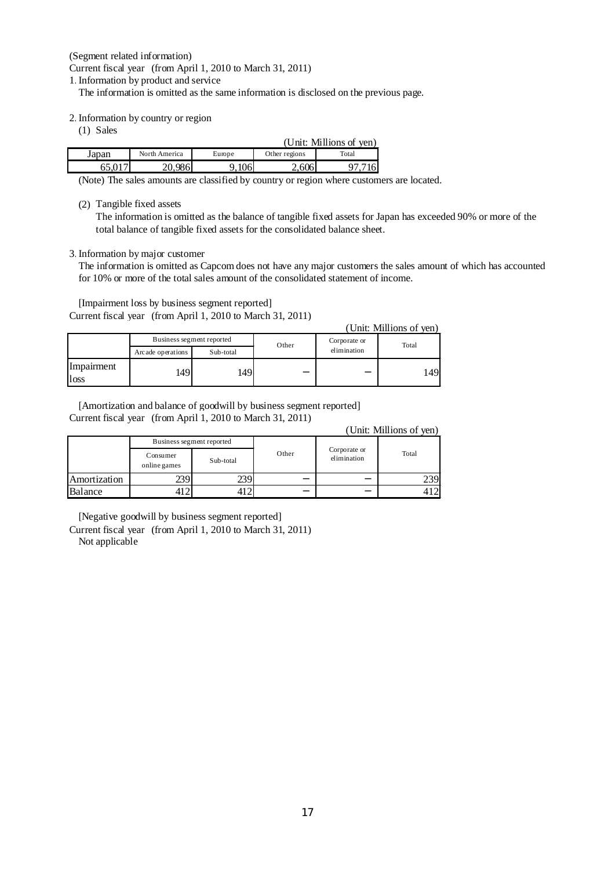(Segment related information)

Current fiscal year (from April 1, 2010 to March 31, 2011)

1.Information by product and service

The information is omitted as the same information is disclosed on the previous page.

2.Information by country or region

(1) Sales

| (Unit: Millions of yen) |               |                  |               |       |  |  |  |
|-------------------------|---------------|------------------|---------------|-------|--|--|--|
| Japan                   | North America |                  | Other regions | Total |  |  |  |
|                         | 086           | 1 $\cap$<br>TOOL | 6061          |       |  |  |  |

(Note) The sales amounts are classified by country or region where customers are located.

(2) Tangible fixed assets

The information is omitted as the balance of tangible fixed assets for Japan has exceeded 90% or more of the total balance of tangible fixed assets for the consolidated balance sheet.

#### 3.Information by major customer

The information is omitted as Capcom does not have any major customers the sales amount of which has accounted for 10% or more of the total sales amount of the consolidated statement of income.

[Impairment loss by business segment reported] Current fiscal year (from April 1, 2010 to March 31, 2011)

| (Unit: Millions of yen) |                    |                           |       |              |       |  |  |  |  |
|-------------------------|--------------------|---------------------------|-------|--------------|-------|--|--|--|--|
|                         |                    | Business segment reported | Other | Corporate or | Total |  |  |  |  |
|                         | Arc ade operations | Sub-total                 |       | elimination  |       |  |  |  |  |
| Impairment<br>loss      | 149!               | 49                        |       |              | 49۱،  |  |  |  |  |

[Amortization and balance of goodwill by business segment reported] Current fiscal year (from April 1, 2010 to March 31, 2011)

|  | (Unit: Millions of yen) |  |
|--|-------------------------|--|
|--|-------------------------|--|

|              |                          | Business segment reported |       |                             |       |
|--------------|--------------------------|---------------------------|-------|-----------------------------|-------|
|              | Consumer<br>online games | Sub-total                 | Other | Corporate or<br>elimination | Total |
| Amortization | 2391                     | 239.                      |       |                             | 239   |
| Balance      |                          |                           |       |                             |       |

[Negative goodwill by business segment reported]

Current fiscal year (from April 1, 2010 to March 31, 2011) Not applicable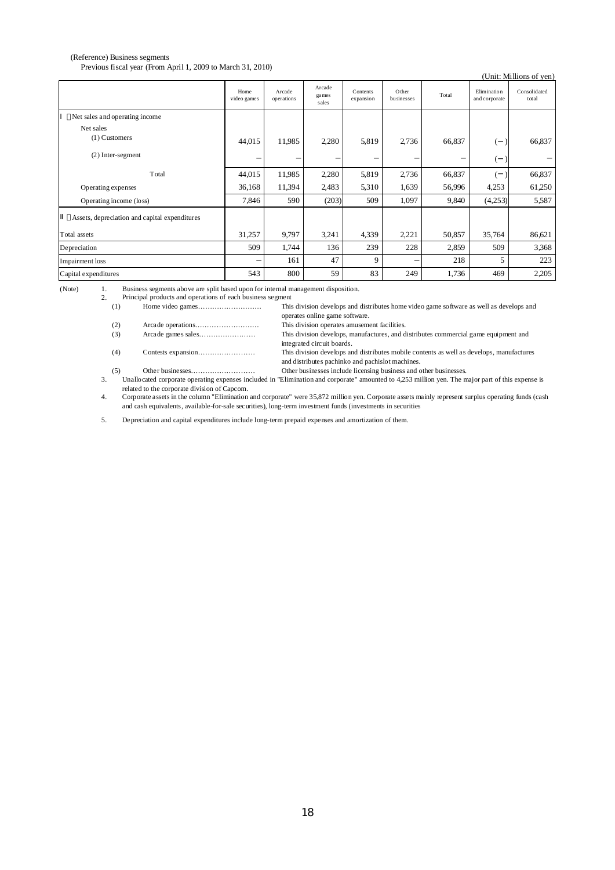#### (Reference) Business segments Previous fiscal year (From April 1, 2009 to March 31, 2010)

| THE VIOUS HSCal year (110H April 1, 2009 to March 31, 2010)<br>(Unit: Millions of yen) |                     |                      |                           |                       |                     |        |                              |                       |
|----------------------------------------------------------------------------------------|---------------------|----------------------|---------------------------|-----------------------|---------------------|--------|------------------------------|-----------------------|
|                                                                                        | Home<br>video games | Arcade<br>operations | Arcade<br>ga mes<br>sales | Contents<br>expansion | Other<br>businesses | Total  | Elimination<br>and corporate | Consolidated<br>total |
| Net sales and operating income                                                         |                     |                      |                           |                       |                     |        |                              |                       |
| Net sales<br>$(1)$ Customers                                                           | 44,015              | 11,985               | 2,280                     | 5,819                 | 2,736               | 66,837 |                              | 66,837                |
| $(2)$ Inter-segment                                                                    |                     |                      |                           |                       |                     |        |                              |                       |
| Total                                                                                  | 44,015              | 11,985               | 2,280                     | 5,819                 | 2,736               | 66,837 |                              | 66,837                |
| Operating expenses                                                                     | 36,168              | 11,394               | 2,483                     | 5,310                 | 1,639               | 56,996 | 4,253                        | 61,250                |
| Operating income (loss)                                                                | 7,846               | 590                  | (203)                     | 509                   | 1,097               | 9,840  | (4,253)                      | 5,587                 |
| Assets, depreciation and capital expenditures                                          |                     |                      |                           |                       |                     |        |                              |                       |
| Total assets                                                                           | 31,257              | 9,797                | 3,241                     | 4,339                 | 2,221               | 50,857 | 35,764                       | 86,621                |
| Depreciation                                                                           | 509                 | 1,744                | 136                       | 239                   | 228                 | 2,859  | 509                          | 3,368                 |
| Impairment loss                                                                        |                     | 161                  | 47                        | 9                     |                     | 218    | 5                            | 223                   |
| Capital expenditures                                                                   | 543                 | 800                  | 59                        | 83                    | 249                 | 1,736  | 469                          | 2,205                 |

(Note) 1. Business segments above are split based upon for internal management disposition.

2. Principal products and operations of each business segment

| (1) | This division develops and distributes home video game software as well as develops and                                                      |
|-----|----------------------------------------------------------------------------------------------------------------------------------------------|
|     | operates online game software.                                                                                                               |
| (2) | This division operates amusement facilities.                                                                                                 |
| (3) | This division develops, manufactures, and distributes commercial game equipment and<br>integrated circuit boards.                            |
| (4) | This division develops and distributes mobile contents as well as develops, manufactures<br>and distributes pachinko and pachislot machines. |

(5) Other businesses……………………… Other businesses include licensing business and other businesses.

3. Unallocated corporate operating expenses included in "Elimination and corporate" amounted to 4,253 million yen. The major part of this expense is related to the corporate division of Capcom.

4. Corporate assets in the column "Elimination and corporate" were 35,872 million yen. Corporate assets mainly represent surplus operating funds (cash and cash equivalents, available-for-sale securities), long-term investment funds (investments in securities

5. Depreciation and capital expenditures include long-term prepaid expenses and amortization of them.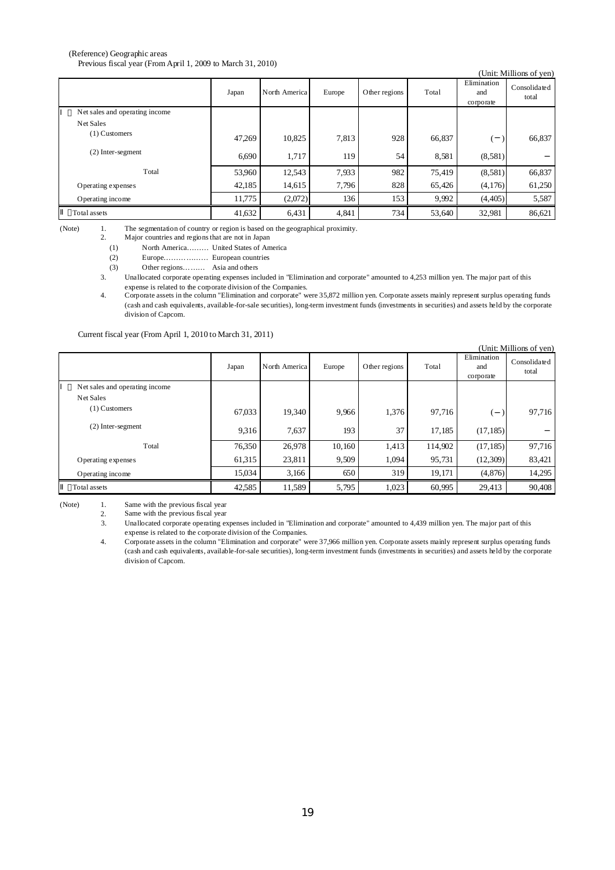#### (Reference) Geographic areas Previous fiscal year (From April 1, 2009 to March 31, 2010)

|                                |        |               |        |               |        |                                 | (Unit: Millions of yen) |
|--------------------------------|--------|---------------|--------|---------------|--------|---------------------------------|-------------------------|
|                                | Japan  | North America | Europe | Other regions | Total  | Elimination<br>and<br>corporate | Consolidated<br>total   |
| Net sales and operating income |        |               |        |               |        |                                 |                         |
| Net Sales                      |        |               |        |               |        |                                 |                         |
| $(1)$ Customers                | 47,269 | 10,825        | 7,813  | 928           | 66,837 |                                 | 66,837                  |
| $(2)$ Inter-segment            | 6,690  | 1,717         | 119    | 54            | 8,581  | (8,581)                         |                         |
| Total                          | 53.960 | 12,543        | 7,933  | 982           | 75,419 | (8,581)                         | 66,837                  |
| Operating expenses             | 42,185 | 14,615        | 7,796  | 828           | 65,426 | (4,176)                         | 61,250                  |
| Operating income               | 11,775 | (2,072)       | 136    | 153           | 9,992  | (4,405)                         | 5,587                   |
| Total assets                   | 41,632 | 6,431         | 4,841  | 734           | 53,640 | 32,981                          | 86,621                  |

(Note) 1. 2. The segmentation of country or region is based on the geographical proximity.

Major countries and regionsthat are not in Japan

(1) North America……… United States of America

(2) Europe……………… European countries

(3) Other regions……… Asia and others

3. Unallocated corporate operating expenses included in "Elimination and corporate" amounted to 4,253 million yen. The major part of this

4. expense is related to the corporate division of the Companies.<br>Corporate assets in the column "Elimination and corporate" were 35,872 million yen. Corporate assets mainly represent surplus operating funds (cash and cash equivalents, available-for-sale securities), long-term investment funds (investments in securities) and assets held by the corporate division of Capcom.

Current fiscal year (From April 1, 2010 to March 31, 2011)

| (Unit: Millions of yen)        |        |               |        |               |         |                                 |                       |  |  |
|--------------------------------|--------|---------------|--------|---------------|---------|---------------------------------|-----------------------|--|--|
|                                | Japan  | North America | Europe | Other regions | Total   | Elimination<br>and<br>corporate | Consolidated<br>total |  |  |
| Net sales and operating income |        |               |        |               |         |                                 |                       |  |  |
| Net Sales                      |        |               |        |               |         |                                 |                       |  |  |
| $(1)$ Customers                | 67,033 | 19,340        | 9,966  | 1,376         | 97,716  |                                 | 97,716                |  |  |
| (2) Inter-segment              | 9,316  | 7.637         | 193    | 37            | 17,185  | (17, 185)                       |                       |  |  |
| Total                          | 76,350 | 26,978        | 10,160 | 1,413         | 114,902 | (17, 185)                       | 97,716                |  |  |
| Operating expenses             | 61,315 | 23,811        | 9,509  | 1,094         | 95,731  | (12,309)                        | 83,421                |  |  |
| Operating income               | 15,034 | 3,166         | 650    | 319           | 19,171  | (4,876)                         | 14,295                |  |  |
| Total assets                   | 42,585 | 11,589        | 5,795  | 1,023         | 60,995  | 29,413                          | 90,408                |  |  |

(Note) 1. Same with the previous fiscal year

2. Same with the previous fiscal year

3. Unallocated corporate operating expenses included in "Elimination and corporate" amounted to 4,439 million yen. The major part of this expense is related to the corporate division of the Companies.

4. Corporate assets in the column "Elimination and corporate" were 37,966 million yen. Corporate assets mainly represent surplus operating funds (cash and cash equivalents, available-for-sale securities), long-term investment funds (investments in securities) and assets held by the corporate division of Capcom.